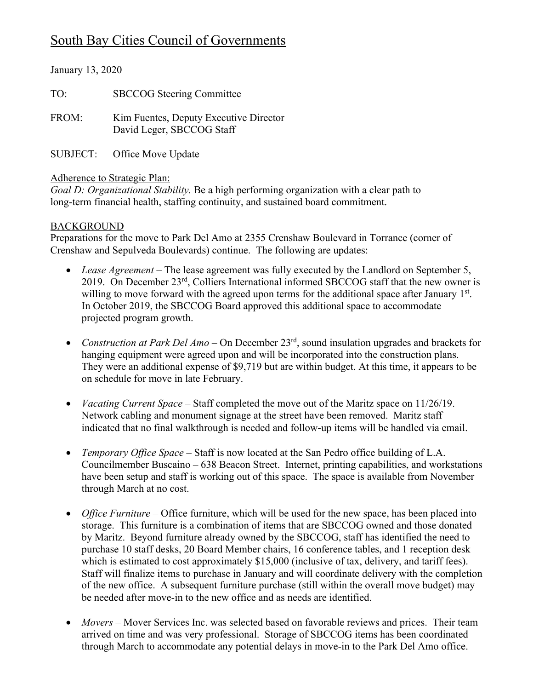# South Bay Cities Council of Governments

| January 13, 2020 |                                                                     |  |  |
|------------------|---------------------------------------------------------------------|--|--|
| TO:              | <b>SBCCOG Steering Committee</b>                                    |  |  |
| FROM:            | Kim Fuentes, Deputy Executive Director<br>David Leger, SBCCOG Staff |  |  |
| <b>SUBJECT:</b>  | Office Move Update                                                  |  |  |

#### Adherence to Strategic Plan:

*Goal D: Organizational Stability.* Be a high performing organization with a clear path to long-term financial health, staffing continuity, and sustained board commitment.

## BACKGROUND

Preparations for the move to Park Del Amo at 2355 Crenshaw Boulevard in Torrance (corner of Crenshaw and Sepulveda Boulevards) continue. The following are updates:

- *Lease Agreement* The lease agreement was fully executed by the Landlord on September 5, 2019. On December 23rd, Colliers International informed SBCCOG staff that the new owner is willing to move forward with the agreed upon terms for the additional space after January 1st. In October 2019, the SBCCOG Board approved this additional space to accommodate projected program growth.
- *Construction at Park Del Amo* On December 23rd, sound insulation upgrades and brackets for hanging equipment were agreed upon and will be incorporated into the construction plans. They were an additional expense of \$9,719 but are within budget. At this time, it appears to be on schedule for move in late February.
- *Vacating Current Space* Staff completed the move out of the Maritz space on 11/26/19. Network cabling and monument signage at the street have been removed. Maritz staff indicated that no final walkthrough is needed and follow-up items will be handled via email.
- *Temporary Office Space –* Staff is now located at the San Pedro office building of L.A. Councilmember Buscaino – 638 Beacon Street. Internet, printing capabilities, and workstations have been setup and staff is working out of this space. The space is available from November through March at no cost.
- *Office Furniture* Office furniture, which will be used for the new space, has been placed into storage. This furniture is a combination of items that are SBCCOG owned and those donated by Maritz. Beyond furniture already owned by the SBCCOG, staff has identified the need to purchase 10 staff desks, 20 Board Member chairs, 16 conference tables, and 1 reception desk which is estimated to cost approximately \$15,000 (inclusive of tax, delivery, and tariff fees). Staff will finalize items to purchase in January and will coordinate delivery with the completion of the new office. A subsequent furniture purchase (still within the overall move budget) may be needed after move-in to the new office and as needs are identified.
- *Movers* Mover Services Inc. was selected based on favorable reviews and prices. Their team arrived on time and was very professional. Storage of SBCCOG items has been coordinated through March to accommodate any potential delays in move-in to the Park Del Amo office.